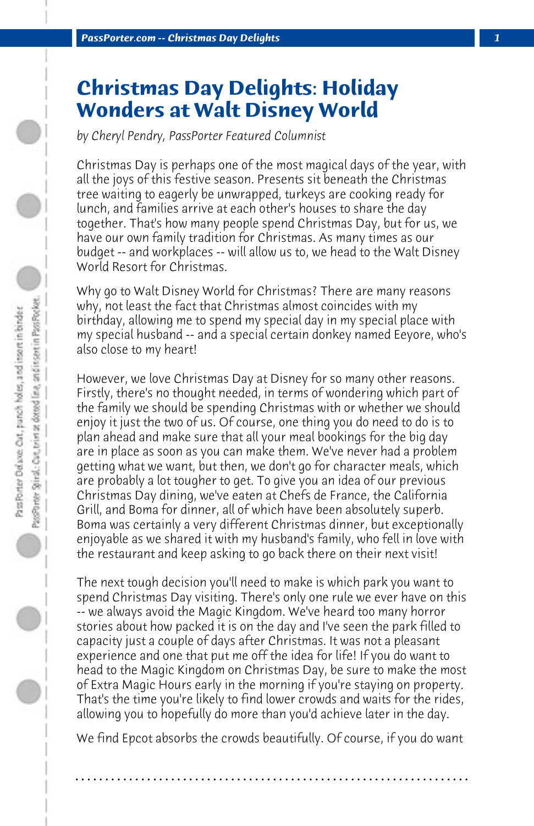## **Christmas Day Delights: Holiday Wonders at Walt Disney World**

*by Cheryl Pendry, PassPorter Featured Columnist*

Christmas Day is perhaps one of the most magical days of the year, with all the joys of this festive season. Presents sit beneath the Christmas tree waiting to eagerly be unwrapped, turkeys are cooking ready for lunch, and families arrive at each other's houses to share the day together. That's how many people spend Christmas Day, but for us, we have our own family tradition for Christmas. As many times as our budget -- and workplaces -- will allow us to, we head to the Walt Disney World Resort for Christmas.

Why go to Walt Disney World for Christmas? There are many reasons why, not least the fact that Christmas almost coincides with my birthday, allowing me to spend my special day in my special place with my special husband -- and a special certain donkey named Eeyore, who's also close to my heart!

However, we love Christmas Day at Disney for so many other reasons. Firstly, there's no thought needed, in terms of wondering which part of the family we should be spending Christmas with or whether we should enjoy it just the two of us. Of course, one thing you do need to do is to plan ahead and make sure that all your meal bookings for the big day are in place as soon as you can make them. We've never had a problem getting what we want, but then, we don't go for character meals, which are probably a lot tougher to get. To give you an idea of our previous Christmas Day dining, we've eaten at Chefs de France, the California Grill, and Boma for dinner, all of which have been absolutely superb. Boma was certainly a very different Christmas dinner, but exceptionally enjoyable as we shared it with my husband's family, who fell in love with the restaurant and keep asking to go back there on their next visit!

The next tough decision you'll need to make is which park you want to spend Christmas Day visiting. There's only one rule we ever have on this -- we always avoid the Magic Kingdom. We've heard too many horror stories about how packed it is on the day and I've seen the park filled to capacity just a couple of days after Christmas. It was not a pleasant experience and one that put me off the idea for life! If you do want to head to the Magic Kingdom on Christmas Day, be sure to make the most of Extra Magic Hours early in the morning if you're staying on property. That's the time you're likely to find lower crowds and waits for the rides, allowing you to hopefully do more than you'd achieve later in the day.

We find Epcot absorbs the crowds beautifully. Of course, if you do want

**. . . . . . . . . . . . . . . . . . . . . . . . . . . . . . . . . . . . . . . . . . . . . . . . . . . . . . . . . . . . . . . . . .**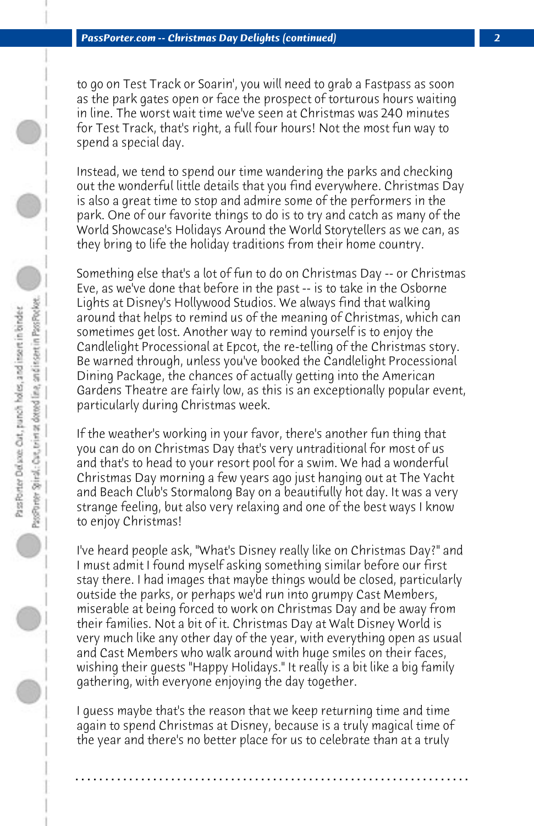to go on Test Track or Soarin', you will need to grab a Fastpass as soon as the park gates open or face the prospect of torturous hours waiting in line. The worst wait time we've seen at Christmas was 240 minutes for Test Track, that's right, a full four hours! Not the most fun way to spend a special day.

Instead, we tend to spend our time wandering the parks and checking out the wonderful little details that you find everywhere. Christmas Day is also a great time to stop and admire some of the performers in the park. One of our favorite things to do is to try and catch as many of the World Showcase's Holidays Around the World Storytellers as we can, as they bring to life the holiday traditions from their home country.

Something else that's a lot of fun to do on Christmas Day -- or Christmas Eve, as we've done that before in the past -- is to take in the Osborne Lights at Disney's Hollywood Studios. We always find that walking around that helps to remind us of the meaning of Christmas, which can sometimes get lost. Another way to remind yourself is to enjoy the Candlelight Processional at Epcot, the re-telling of the Christmas story. Be warned through, unless you've booked the Candlelight Processional Dining Package, the chances of actually getting into the American Gardens Theatre are fairly low, as this is an exceptionally popular event, particularly during Christmas week.

If the weather's working in your favor, there's another fun thing that you can do on Christmas Day that's very untraditional for most of us and that's to head to your resort pool for a swim. We had a wonderful Christmas Day morning a few years ago just hanging out at The Yacht and Beach Club's Stormalong Bay on a beautifully hot day. It was a very strange feeling, but also very relaxing and one of the best ways I know to enjoy Christmas!

I've heard people ask, "What's Disney really like on Christmas Day?" and I must admit I found myself asking something similar before our first stay there. I had images that maybe things would be closed, particularly outside the parks, or perhaps we'd run into grumpy Cast Members, miserable at being forced to work on Christmas Day and be away from their families. Not a bit of it. Christmas Day at Walt Disney World is very much like any other day of the year, with everything open as usual and Cast Members who walk around with huge smiles on their faces, wishing their guests "Happy Holidays." It really is a bit like a big family gathering, with everyone enjoying the day together.

I guess maybe that's the reason that we keep returning time and time again to spend Christmas at Disney, because is a truly magical time of the year and there's no better place for us to celebrate than at a truly

**. . . . . . . . . . . . . . . . . . . . . . . . . . . . . . . . . . . . . . . . . . . . . . . . . . . . . . . . . . . . . . . . . .**